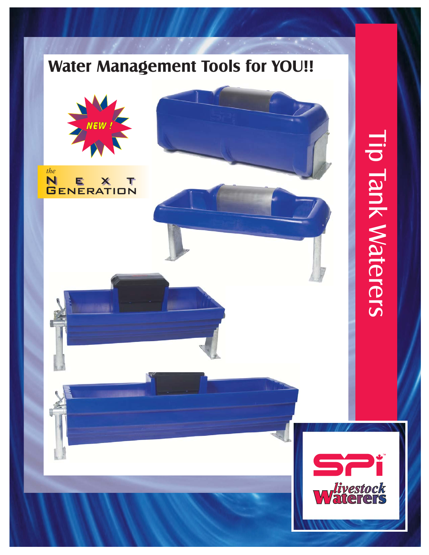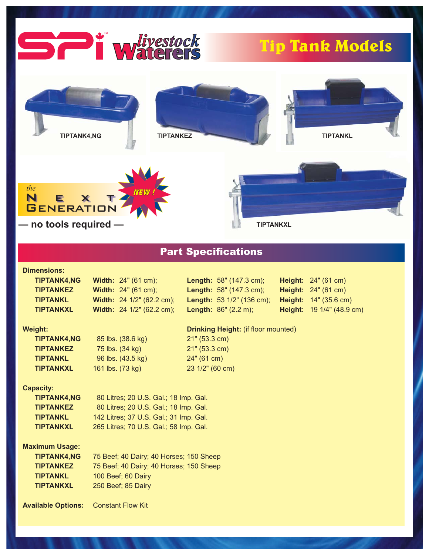

# Part Specifications

9 1/4" (48.9 cm)

# **Dimensions:**<br>TIBTANKA NC

| <b>TIPTANK4,NG</b>        | <b>Width:</b> $24^{\circ}$ (61 cm);        | <b>Length:</b> $58$ " (147.3 cm); |  | <b>Height:</b> 24" (61 cm)          |
|---------------------------|--------------------------------------------|-----------------------------------|--|-------------------------------------|
| <b>TIPTANKEZ</b>          | <b>Width:</b> $24^{\circ}$ (61 cm);        | <b>Length:</b> $58$ " (147.3 cm); |  | <b>Height:</b> $24^{\circ}$ (61 cm) |
| <b>TIPTANKL</b>           | Width: 24 1/2" (62.2 cm);                  | <b>Length: 53 1/2" (136 cm);</b>  |  | Height: 14" (35.6 cm)               |
| <b>TIPTANKXL</b>          | Width: 24 1/2" (62.2 cm);                  | <b>Length:</b> $86''$ (2.2 m);    |  | Height: 19 1/4" (48.9 o             |
| <b>Weight:</b>            | <b>Drinking Height: (if floor mounted)</b> |                                   |  |                                     |
| <b>TIPTANK4,NG</b>        | 85 lbs. (38.6 kg)                          | 21" (53.3 cm)                     |  |                                     |
| <b>TIPTANKEZ</b>          | 75 lbs. (34 kg)                            | 21" (53.3 cm)                     |  |                                     |
| <b>TIPTANKL</b>           | 96 lbs. (43.5 kg)                          | 24" (61 cm)                       |  |                                     |
| <b>TIPTANKXL</b>          | 161 lbs. (73 kg)                           | 23 1/2" (60 cm)                   |  |                                     |
| <b>Capacity:</b>          |                                            |                                   |  |                                     |
| <b>TIPTANK4,NG</b>        | 80 Litres; 20 U.S. Gal.; 18 Imp. Gal.      |                                   |  |                                     |
| <b>TIPTANKEZ</b>          | 80 Litres; 20 U.S. Gal.; 18 Imp. Gal.      |                                   |  |                                     |
| <b>TIPTANKL</b>           | 142 Litres; 37 U.S. Gal.; 31 Imp. Gal.     |                                   |  |                                     |
| <b>TIPTANKXL</b>          | 265 Litres; 70 U.S. Gal.; 58 Imp. Gal.     |                                   |  |                                     |
| <b>Maximum Usage:</b>     |                                            |                                   |  |                                     |
| <b>TIPTANK4,NG</b>        | 75 Beef; 40 Dairy; 40 Horses; 150 Sheep    |                                   |  |                                     |
| <b>TIPTANKEZ</b>          | 75 Beef; 40 Dairy; 40 Horses; 150 Sheep    |                                   |  |                                     |
| <b>TIPTANKL</b>           | 100 Beef; 60 Dairy                         |                                   |  |                                     |
| <b>TIPTANKXL</b>          | 250 Beef; 85 Dairy                         |                                   |  |                                     |
| <b>Available Options:</b> | <b>Constant Flow Kit</b>                   |                                   |  |                                     |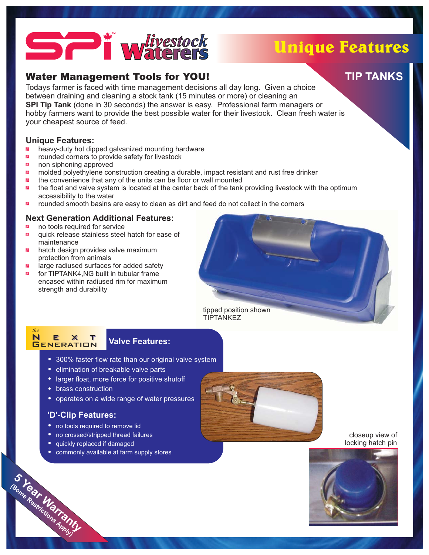# waterers *livestock*

# Unique Features

**TIP TANKS**

Todays farmer is faced with time management decisions all day long. Given a choice between draining and cleaning a stock tank (15 minutes or more) or cleaning an **SPI Tip Tank** (done in 30 seconds) the answer is easy. Professional farm managers or hobby farmers want to provide the best possible water for their livestock. Clean fresh water is your cheapest source of feed.

#### **Unique Features:**

- heavy-duty hot dipped galvanized mounting hardware -
- rounded corners to provide safety for livestock -
- non siphoning approved -
- molded polyethylene construction creating a durable, impact resistant and rust free drinker .<br>군<u>대</u>
- the convenience that any of the units can be floor or wall mounted -
- the float and valve system is located at the center back of the tank providing livestock with the optimum accessibility to the water 긢.
- rounded smooth basins are easy to clean as dirt and feed do not collect in the corners .<br>규모

#### **Next Generation Additional Features:**

- no tools required for service <u>군</u>
- quick release stainless steel hatch for ease of maintenance -
- hatch design provides valve maximum<br>protection from animals protection from animals 킖
- large radiused surfaces for added safety 긢
- for TIPTANK4,NG built in tubular frame encased within radiused rim for maximum strength and durability .<br>규모





## **Valve Features:**

- 300% faster flow rate than our original valve system
- **•** elimination of breakable valve parts
- larger float, more force for positive shutoff
- **brass construction**<br>• brass construction
- **•** operates on a wide range of water pressures

### **'D'-Clip Features:**

- no tools required to remove lid
- no consed/stripped thread failures
- quickly replaced if damaged
- commonly available at farm supply stores



#### closeup view of locking hatch pin



**Warranty Restrictions Apply)**

**5 Help** 

**(Some**